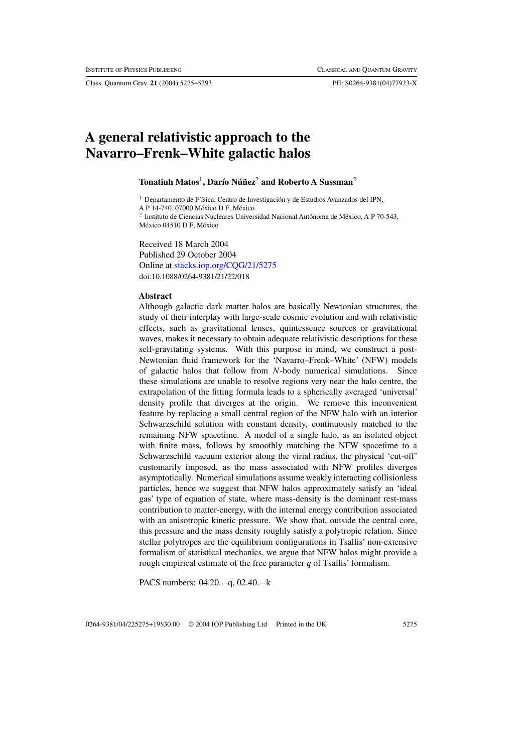Class. Quantum Grav. **21** (2004) 5275–5293 PII: S0264-9381(04)77923-X

# **A general relativistic approach to the Navarro–Frenk–White galactic halos**

# **Tonatiuh Matos<sup>1</sup>, Darío Núñez<sup>2</sup> and Roberto A Sussman<sup>2</sup>**

<sup>1</sup> Departamento de F'ísica, Centro de Investigación y de Estudios Avanzados del IPN,

A P 14-740, 07000 México D F, México

<sup>2</sup> Instituto de Ciencias Nucleares Universidad Nacional Autónoma de México, A P 70-543, México 04510 D F, México

Received 18 March 2004 Published 29 October 2004 Online at [stacks.iop.org/CQG/21/5275](http://stacks.iop.org/cq/21/5275) doi:10.1088/0264-9381/21/22/018

#### **Abstract**

Although galactic dark matter halos are basically Newtonian structures, the study of their interplay with large-scale cosmic evolution and with relativistic effects, such as gravitational lenses, quintessence sources or gravitational waves, makes it necessary to obtain adequate relativistic descriptions for these self-gravitating systems. With this purpose in mind, we construct a post-Newtonian fluid framework for the 'Navarro–Frenk–White' (NFW) models of galactic halos that follow from *N*-body numerical simulations. Since these simulations are unable to resolve regions very near the halo centre, the extrapolation of the fitting formula leads to a spherically averaged 'universal' density profile that diverges at the origin. We remove this inconvenient feature by replacing a small central region of the NFW halo with an interior Schwarzschild solution with constant density, continuously matched to the remaining NFW spacetime. A model of a single halo, as an isolated object with finite mass, follows by smoothly matching the NFW spacetime to a Schwarzschild vacuum exterior along the virial radius, the physical 'cut-off' customarily imposed, as the mass associated with NFW profiles diverges asymptotically. Numerical simulations assume weakly interacting collisionless particles, hence we suggest that NFW halos approximately satisfy an 'ideal gas' type of equation of state, where mass-density is the dominant rest-mass contribution to matter-energy, with the internal energy contribution associated with an anisotropic kinetic pressure. We show that, outside the central core, this pressure and the mass density roughly satisfy a polytropic relation. Since stellar polytropes are the equilibrium configurations in Tsallis' non-extensive formalism of statistical mechanics, we argue that NFW halos might provide a rough empirical estimate of the free parameter *q* of Tsallis' formalism.

PACS numbers: 04.20.−q, 02.40.−k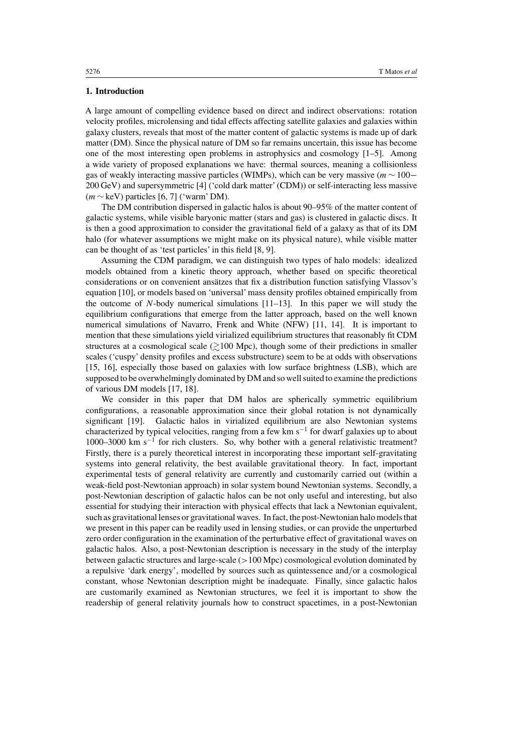## **1. Introduction**

A large amount of compelling evidence based on direct and indirect observations: rotation velocity profiles, microlensing and tidal effects affecting satellite galaxies and galaxies within galaxy clusters, reveals that most of the matter content of galactic systems is made up of dark matter (DM). Since the physical nature of DM so far remains uncertain, this issue has become one of the most interesting open problems in astrophysics and cosmology [1–5]. Among a wide variety of proposed explanations we have: thermal sources, meaning a collisionless gas of weakly interacting massive particles (WIMPs), which can be very massive (*m* ∼ 100− 200 GeV) and supersymmetric [4] ('cold dark matter' (CDM)) or self-interacting less massive (*m* ∼ keV) particles [6, 7] ('warm' DM).

The DM contribution dispersed in galactic halos is about 90–95% of the matter content of galactic systems, while visible baryonic matter (stars and gas) is clustered in galactic discs. It is then a good approximation to consider the gravitational field of a galaxy as that of its DM halo (for whatever assumptions we might make on its physical nature), while visible matter can be thought of as 'test particles' in this field [8, 9].

Assuming the CDM paradigm, we can distinguish two types of halo models: idealized models obtained from a kinetic theory approach, whether based on specific theoretical considerations or on convenient ansätzes that fix a distribution function satisfying Vlassov's equation [10], or models based on 'universal' mass density profiles obtained empirically from the outcome of  $N$ -body numerical simulations  $[11-13]$ . In this paper we will study the equilibrium configurations that emerge from the latter approach, based on the well known numerical simulations of Navarro, Frenk and White (NFW) [11, 14]. It is important to mention that these simulations yield virialized equilibrium structures that reasonably fit CDM structures at a cosmological scale  $\geq 100$  Mpc), though some of their predictions in smaller scales ('cuspy' density profiles and excess substructure) seem to be at odds with observations [15, 16], especially those based on galaxies with low surface brightness (LSB), which are supposed to be overwhelmingly dominated by DM and so well suited to examine the predictions of various DM models [17, 18].

We consider in this paper that DM halos are spherically symmetric equilibrium configurations, a reasonable approximation since their global rotation is not dynamically significant [19]. Galactic halos in virialized equilibrium are also Newtonian systems characterized by typical velocities, ranging from a few km s<sup>-1</sup> for dwarf galaxies up to about 1000–3000 km s−<sup>1</sup> for rich clusters. So, why bother with a general relativistic treatment? Firstly, there is a purely theoretical interest in incorporating these important self-gravitating systems into general relativity, the best available gravitational theory. In fact, important experimental tests of general relativity are currently and customarily carried out (within a weak-field post-Newtonian approach) in solar system bound Newtonian systems. Secondly, a post-Newtonian description of galactic halos can be not only useful and interesting, but also essential for studying their interaction with physical effects that lack a Newtonian equivalent, such as gravitational lenses or gravitational waves. In fact, the post-Newtonian halo models that we present in this paper can be readily used in lensing studies, or can provide the unperturbed zero order configuration in the examination of the perturbative effect of gravitational waves on galactic halos. Also, a post-Newtonian description is necessary in the study of the interplay between galactic structures and large-scale (*>*100 Mpc) cosmological evolution dominated by a repulsive 'dark energy', modelled by sources such as quintessence and*/*or a cosmological constant, whose Newtonian description might be inadequate. Finally, since galactic halos are customarily examined as Newtonian structures, we feel it is important to show the readership of general relativity journals how to construct spacetimes, in a post-Newtonian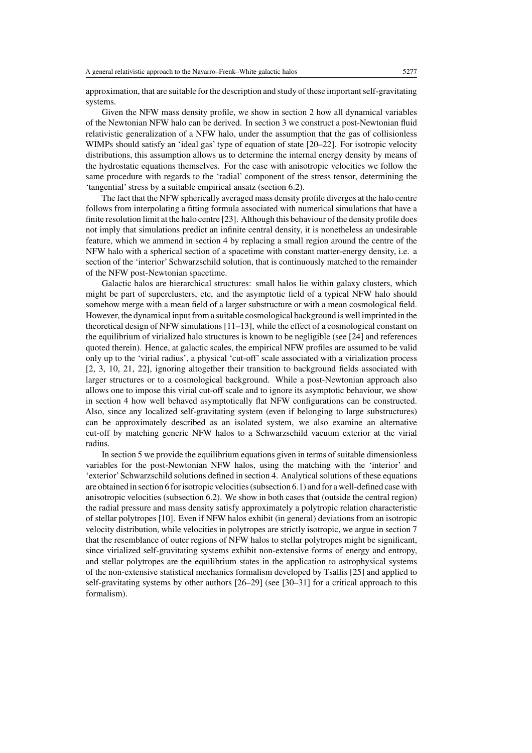approximation, that are suitable for the description and study of these important self-gravitating systems.

Given the NFW mass density profile, we show in section 2 how all dynamical variables of the Newtonian NFW halo can be derived. In section 3 we construct a post-Newtonian fluid relativistic generalization of a NFW halo, under the assumption that the gas of collisionless WIMPs should satisfy an 'ideal gas' type of equation of state [20–22]. For isotropic velocity distributions, this assumption allows us to determine the internal energy density by means of the hydrostatic equations themselves. For the case with anisotropic velocities we follow the same procedure with regards to the 'radial' component of the stress tensor, determining the 'tangential' stress by a suitable empirical ansatz (section 6.2).

The fact that the NFW spherically averaged mass density profile diverges at the halo centre follows from interpolating a fitting formula associated with numerical simulations that have a finite resolution limit at the halo centre [23]. Although this behaviour of the density profile does not imply that simulations predict an infinite central density, it is nonetheless an undesirable feature, which we ammend in section 4 by replacing a small region around the centre of the NFW halo with a spherical section of a spacetime with constant matter-energy density, i.e. a section of the 'interior' Schwarzschild solution, that is continuously matched to the remainder of the NFW post-Newtonian spacetime.

Galactic halos are hierarchical structures: small halos lie within galaxy clusters, which might be part of superclusters, etc, and the asymptotic field of a typical NFW halo should somehow merge with a mean field of a larger substructure or with a mean cosmological field. However, the dynamical input from a suitable cosmological background is well imprinted in the theoretical design of NFW simulations [11–13], while the effect of a cosmological constant on the equilibrium of virialized halo structures is known to be negligible (see [24] and references quoted therein). Hence, at galactic scales, the empirical NFW profiles are assumed to be valid only up to the 'virial radius', a physical 'cut-off' scale associated with a virialization process [2, 3, 10, 21, 22], ignoring altogether their transition to background fields associated with larger structures or to a cosmological background. While a post-Newtonian approach also allows one to impose this virial cut-off scale and to ignore its asymptotic behaviour, we show in section 4 how well behaved asymptotically flat NFW configurations can be constructed. Also, since any localized self-gravitating system (even if belonging to large substructures) can be approximately described as an isolated system, we also examine an alternative cut-off by matching generic NFW halos to a Schwarzschild vacuum exterior at the virial radius.

In section 5 we provide the equilibrium equations given in terms of suitable dimensionless variables for the post-Newtonian NFW halos, using the matching with the 'interior' and 'exterior'Schwarzschild solutions defined in section 4. Analytical solutions of these equations are obtained in section 6 for isotropic velocities (subsection 6.1) and for a well-defined case with anisotropic velocities (subsection 6.2). We show in both cases that (outside the central region) the radial pressure and mass density satisfy approximately a polytropic relation characteristic of stellar polytropes [10]. Even if NFW halos exhibit (in general) deviations from an isotropic velocity distribution, while velocities in polytropes are strictly isotropic, we argue in section 7 that the resemblance of outer regions of NFW halos to stellar polytropes might be significant, since virialized self-gravitating systems exhibit non-extensive forms of energy and entropy, and stellar polytropes are the equilibrium states in the application to astrophysical systems of the non-extensive statistical mechanics formalism developed by Tsallis [25] and applied to self-gravitating systems by other authors [26–29] (see [30–31] for a critical approach to this formalism).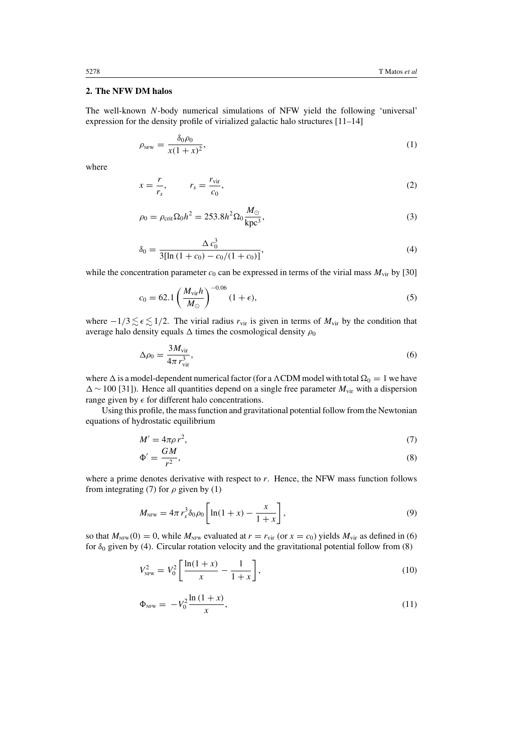## **2. The NFW DM halos**

The well-known *N*-body numerical simulations of NFW yield the following 'universal' expression for the density profile of virialized galactic halo structures [11–14]

$$
\rho_{\text{NFW}} = \frac{\delta_0 \rho_0}{x(1+x)^2},\tag{1}
$$

where

$$
x = \frac{r}{r_s}, \qquad r_s = \frac{r_{\rm vir}}{c_0}, \tag{2}
$$

$$
\rho_0 = \rho_{\rm crit} \Omega_0 h^2 = 253.8 h^2 \Omega_0 \frac{M_\odot}{\text{kpc}^3},\tag{3}
$$

$$
\delta_0 = \frac{\Delta c_0^3}{3[\ln(1+c_0) - c_0/(1+c_0)]},\tag{4}
$$

while the concentration parameter  $c_0$  can be expressed in terms of the virial mass  $M_{\text{vir}}$  by [30]

$$
c_0 = 62.1 \left(\frac{M_{\rm vir}h}{M_{\odot}}\right)^{-0.06} (1 + \epsilon),
$$
 (5)

where  $-1/3 \lesssim \epsilon \lesssim 1/2$ . The virial radius  $r_{\text{vir}}$  is given in terms of  $M_{\text{vir}}$  by the condition that average halo density equals  $\Delta$  times the cosmological density  $\rho_0$ 

$$
\Delta \rho_0 = \frac{3M_{\rm vir}}{4\pi r_{\rm vir}^3},\tag{6}
$$

where  $\Delta$  is a model-dependent numerical factor (for a  $\Lambda$ CDM model with total  $\Omega_0 = 1$  we have ∼ 100 [31]). Hence all quantities depend on a single free parameter *M*vir with a dispersion range given by  $\epsilon$  for different halo concentrations.

Using this profile, the mass function and gravitational potential follow from the Newtonian equations of hydrostatic equilibrium

$$
M' = 4\pi\rho r^2,\tag{7}
$$

$$
\Phi' = \frac{GM}{r^2},\tag{8}
$$

where a prime denotes derivative with respect to *r*. Hence, the NFW mass function follows from integrating (7) for  $\rho$  given by (1)

$$
M_{\text{NFW}} = 4\pi r_s^3 \delta_0 \rho_0 \left[ \ln(1+x) - \frac{x}{1+x} \right],\tag{9}
$$

so that  $M_{NFW}(0) = 0$ , while  $M_{NFW}$  evaluated at  $r = r_{\text{vir}}$  (or  $x = c_0$ ) yields  $M_{\text{vir}}$  as defined in (6) for  $\delta_0$  given by (4). Circular rotation velocity and the gravitational potential follow from (8)

$$
V_{\text{NFW}}^2 = V_0^2 \left[ \frac{\ln(1+x)}{x} - \frac{1}{1+x} \right],\tag{10}
$$

$$
\Phi_{\text{NFW}} = -V_0^2 \frac{\ln(1+x)}{x},\tag{11}
$$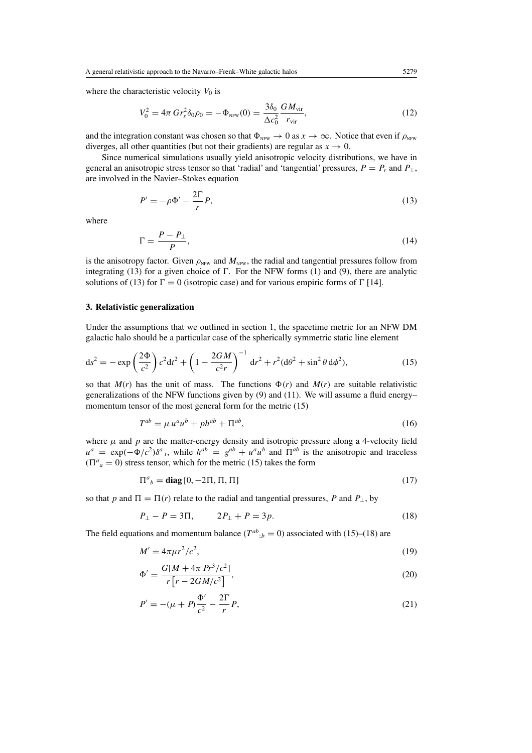where the characteristic velocity  $V_0$  is

$$
V_0^2 = 4\pi \, Gr_s^2 \delta_0 \rho_0 = -\Phi_{\text{NFW}}(0) = \frac{3\delta_0}{\Delta c_0^2} \frac{GM_{\text{vir}}}{r_{\text{vir}}},\tag{12}
$$

and the integration constant was chosen so that  $\Phi_{NFW} \to 0$  as  $x \to \infty$ . Notice that even if  $\rho_{NFW}$ diverges, all other quantities (but not their gradients) are regular as  $x \to 0$ .

Since numerical simulations usually yield anisotropic velocity distributions, we have in general an anisotropic stress tensor so that 'radial' and 'tangential' pressures,  $P = P_r$  and  $P_{\perp}$ , are involved in the Navier–Stokes equation

$$
P' = -\rho \Phi' - \frac{2\Gamma}{r} P,\tag{13}
$$

where

$$
\Gamma = \frac{P - P_{\perp}}{P},\tag{14}
$$

is the anisotropy factor. Given  $\rho_{NFW}$  and  $M_{NFW}$ , the radial and tangential pressures follow from integrating (13) for a given choice of  $\Gamma$ . For the NFW forms (1) and (9), there are analytic solutions of (13) for  $\Gamma = 0$  (isotropic case) and for various empiric forms of  $\Gamma$  [14].

# **3. Relativistic generalization**

Under the assumptions that we outlined in section 1, the spacetime metric for an NFW DM galactic halo should be a particular case of the spherically symmetric static line element

$$
ds^{2} = -\exp\left(\frac{2\Phi}{c^{2}}\right)c^{2}dt^{2} + \left(1 - \frac{2GM}{c^{2}r}\right)^{-1}dr^{2} + r^{2}(d\theta^{2} + \sin^{2}\theta d\phi^{2}),
$$
\n(15)

so that  $M(r)$  has the unit of mass. The functions  $\Phi(r)$  and  $M(r)$  are suitable relativistic generalizations of the NFW functions given by  $(9)$  and  $(11)$ . We will assume a fluid energy– momentum tensor of the most general form for the metric (15)

$$
T^{ab} = \mu u^a u^b + p h^{ab} + \Pi^{ab},\tag{16}
$$

where  $\mu$  and  $p$  are the matter-energy density and isotropic pressure along a 4-velocity field  $u^a = \exp(-\Phi/c^2)\delta^a{}_t$ , while  $h^{ab} = g^{ab} + u^a u^b$  and  $\overline{\Pi}^{ab}$  is the anisotropic and traceless  $(\Pi^a{}_a = 0)$  stress tensor, which for the metric (15) takes the form

$$
\Pi^a{}_b = \text{diag}\left[0, -2\Pi, \Pi, \Pi\right] \tag{17}
$$

so that *p* and  $\Pi = \Pi(r)$  relate to the radial and tangential pressures, *P* and  $P_{\perp}$ , by

$$
P_{\perp} - P = 3\Pi, \qquad 2P_{\perp} + P = 3p. \tag{18}
$$

The field equations and momentum balance ( $T^{ab}$ ; $b = 0$ ) associated with (15)–(18) are

$$
M' = 4\pi\mu r^2/c^2,\tag{19}
$$

$$
\Phi' = \frac{G[M + 4\pi \ P r^3/c^2]}{r[r - 2GM/c^2]},\tag{20}
$$

$$
P' = -(\mu + P)\frac{\Phi'}{c^2} - \frac{2\Gamma}{r}P,
$$
\n(21)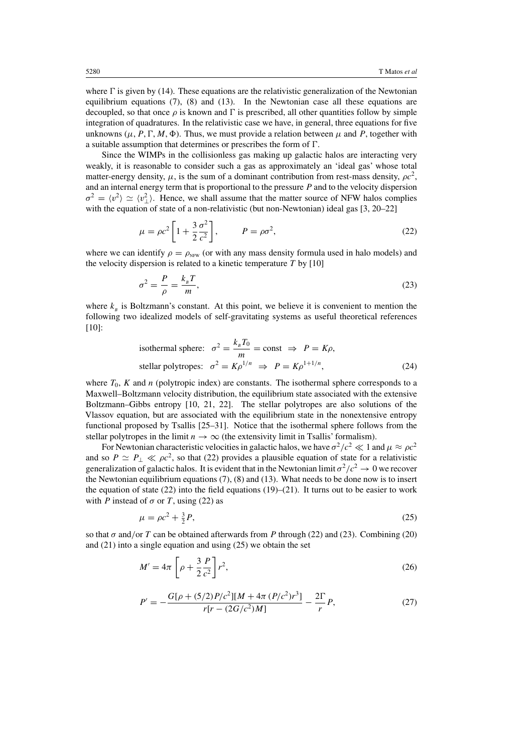where  $\Gamma$  is given by (14). These equations are the relativistic generalization of the Newtonian equilibrium equations (7), (8) and (13). In the Newtonian case all these equations are decoupled, so that once  $\rho$  is known and  $\Gamma$  is prescribed, all other quantities follow by simple integration of quadratures. In the relativistic case we have, in general, three equations for five unknowns ( $\mu$ , *P*,  $\Gamma$ , *M*,  $\Phi$ ). Thus, we must provide a relation between  $\mu$  and *P*, together with a suitable assumption that determines or prescribes the form of  $\Gamma$ .

Since the WIMPs in the collisionless gas making up galactic halos are interacting very weakly, it is reasonable to consider such a gas as approximately an 'ideal gas' whose total matter-energy density,  $\mu$ , is the sum of a dominant contribution from rest-mass density,  $\rho c^2$ , and an internal energy term that is proportional to the pressure *P* and to the velocity dispersion  $\sigma^2 = \langle v^2 \rangle \simeq \langle v^2_{\perp} \rangle$ . Hence, we shall assume that the matter source of NFW halos complies with the equation of state of a non-relativistic (but non-Newtonian) ideal gas [3, 20–22]

$$
\mu = \rho c^2 \left[ 1 + \frac{3}{2} \frac{\sigma^2}{c^2} \right], \qquad P = \rho \sigma^2,
$$
\n(22)

where we can identify  $\rho = \rho_{NFW}$  (or with any mass density formula used in halo models) and the velocity dispersion is related to a kinetic temperature *T* by [10]

$$
\sigma^2 = \frac{P}{\rho} = \frac{k_s T}{m},\tag{23}
$$

where  $k<sub>B</sub>$  is Boltzmann's constant. At this point, we believe it is convenient to mention the following two idealized models of self-gravitating systems as useful theoretical references [10]:

isothermal sphere: 
$$
\sigma^2 = \frac{k_B T_0}{m} = \text{const} \implies P = K\rho
$$
,  
stellar polytropes:  $\sigma^2 = K\rho^{1/n} \implies P = K\rho^{1+1/n}$ , (24)

where  $T_0$ ,  $K$  and  $n$  (polytropic index) are constants. The isothermal sphere corresponds to a Maxwell–Boltzmann velocity distribution, the equilibrium state associated with the extensive Boltzmann–Gibbs entropy [10, 21, 22]. The stellar polytropes are also solutions of the Vlassov equation, but are associated with the equilibrium state in the nonextensive entropy functional proposed by Tsallis [25–31]. Notice that the isothermal sphere follows from the stellar polytropes in the limit  $n \to \infty$  (the extensivity limit in Tsallis' formalism).

For Newtonian characteristic velocities in galactic halos, we have  $\sigma^2/c^2 \ll 1$  and  $\mu \approx \rho c^2$ and so  $P \simeq P_{\perp} \ll \rho c^2$ , so that (22) provides a plausible equation of state for a relativistic generalization of galactic halos. It is evident that in the Newtonian limit  $\sigma^2/c^2 \to 0$  we recover the Newtonian equilibrium equations (7), (8) and (13). What needs to be done now is to insert the equation of state (22) into the field equations (19)–(21). It turns out to be easier to work with *P* instead of  $\sigma$  or *T*, using (22) as

$$
\mu = \rho c^2 + \frac{3}{2}P,\tag{25}
$$

so that  $\sigma$  and/or *T* can be obtained afterwards from *P* through (22) and (23). Combining (20) and (21) into a single equation and using (25) we obtain the set

$$
M' = 4\pi \left[ \rho + \frac{3}{2} \frac{P}{c^2} \right] r^2, \tag{26}
$$

$$
P' = -\frac{G[\rho + (5/2)P/c^2][M + 4\pi (P/c^2)r^3]}{r[r - (2G/c^2)M]} - \frac{2\Gamma}{r}P,
$$
\n(27)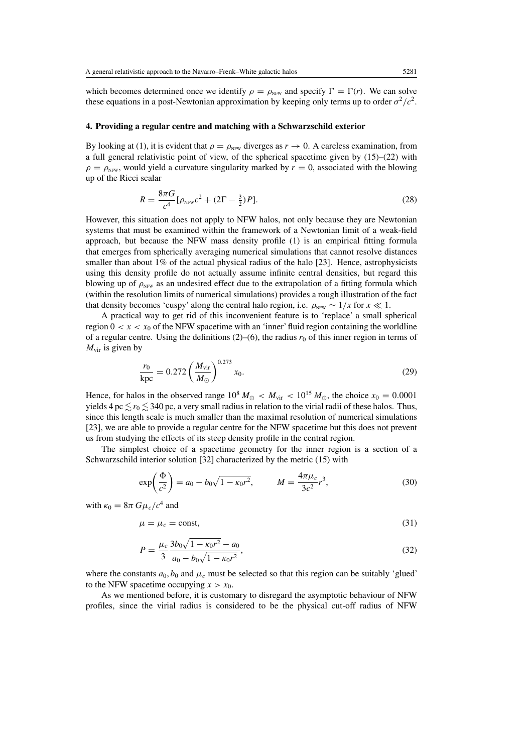which becomes determined once we identify  $\rho = \rho_{NFW}$  and specify  $\Gamma = \Gamma(r)$ . We can solve these equations in a post-Newtonian approximation by keeping only terms up to order  $\sigma^2/c^2$ .

## **4. Providing a regular centre and matching with a Schwarzschild exterior**

By looking at (1), it is evident that  $\rho = \rho_{NFW}$  diverges as  $r \to 0$ . A careless examination, from a full general relativistic point of view, of the spherical spacetime given by (15)–(22) with  $\rho = \rho_{NFW}$ , would yield a curvature singularity marked by  $r = 0$ , associated with the blowing up of the Ricci scalar

$$
R = \frac{8\pi G}{c^4} [\rho_{\text{NFW}} c^2 + (2\Gamma - \frac{3}{2})P].
$$
 (28)

However, this situation does not apply to NFW halos, not only because they are Newtonian systems that must be examined within the framework of a Newtonian limit of a weak-field approach, but because the NFW mass density profile (1) is an empirical fitting formula that emerges from spherically averaging numerical simulations that cannot resolve distances smaller than about  $1\%$  of the actual physical radius of the halo [23]. Hence, astrophysicists using this density profile do not actually assume infinite central densities, but regard this blowing up of  $\rho_{NFW}$  as an undesired effect due to the extrapolation of a fitting formula which (within the resolution limits of numerical simulations) provides a rough illustration of the fact that density becomes 'cuspy' along the central halo region, i.e.  $\rho_{NFW} \sim 1/x$  for  $x \ll 1$ .

A practical way to get rid of this inconvenient feature is to 'replace' a small spherical region  $0 < x < x_0$  of the NFW spacetime with an 'inner' fluid region containing the worldline of a regular centre. Using the definitions  $(2)$ – $(6)$ , the radius  $r_0$  of this inner region in terms of *M*vir is given by

$$
\frac{r_0}{\text{kpc}} = 0.272 \left(\frac{M_{\text{vir}}}{M_{\odot}}\right)^{0.273} x_0. \tag{29}
$$

Hence, for halos in the observed range  $10^8 M_{\odot} < M_{\text{vir}} < 10^{15} M_{\odot}$ , the choice  $x_0 = 0.0001$ yields 4 pc  $\lesssim$   $r_0$   $\lesssim$  340 pc, a very small radius in relation to the virial radii of these halos. Thus, since this length scale is much smaller than the maximal resolution of numerical simulations [23], we are able to provide a regular centre for the NFW spacetime but this does not prevent us from studying the effects of its steep density profile in the central region.

The simplest choice of a spacetime geometry for the inner region is a section of a Schwarzschild interior solution [32] characterized by the metric (15) with

$$
\exp\left(\frac{\Phi}{c^2}\right) = a_0 - b_0\sqrt{1 - \kappa_0 r^2}, \qquad M = \frac{4\pi\mu_c}{3c^2}r^3,\tag{30}
$$

with  $\kappa_0 = 8\pi G \mu_c/c^4$  and

$$
\mu = \mu_c = \text{const},\tag{31}
$$

$$
P = \frac{\mu_c}{3} \frac{3b_0\sqrt{1 - \kappa_0 r^2} - a_0}{a_0 - b_0\sqrt{1 - \kappa_0 r^2}},
$$
\n(32)

where the constants  $a_0$ ,  $b_0$  and  $\mu_c$  must be selected so that this region can be suitably 'glued' to the NFW spacetime occupying  $x > x_0$ .

As we mentioned before, it is customary to disregard the asymptotic behaviour of NFW profiles, since the virial radius is considered to be the physical cut-off radius of NFW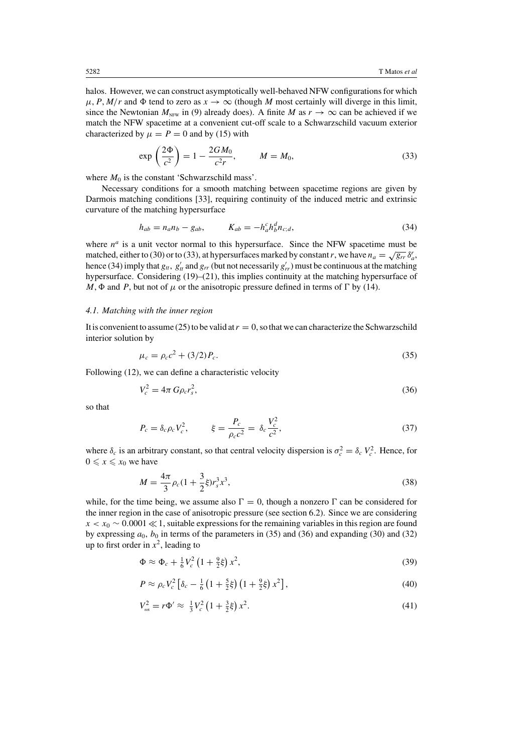halos. However, we can construct asymptotically well-behaved NFW configurations for which  $\mu$ , *P*, *M*/*r* and  $\Phi$  tend to zero as  $x \to \infty$  (though *M* most certainly will diverge in this limit, since the Newtonian  $M<sub>NFW</sub>$  in (9) already does). A finite *M* as  $r \to \infty$  can be achieved if we match the NFW spacetime at a convenient cut-off scale to a Schwarzschild vacuum exterior characterized by  $\mu = P = 0$  and by (15) with

$$
\exp\left(\frac{2\Phi}{c^2}\right) = 1 - \frac{2GM_0}{c^2r}, \qquad M = M_0,\tag{33}
$$

where  $M_0$  is the constant 'Schwarzschild mass'.

Necessary conditions for a smooth matching between spacetime regions are given by Darmois matching conditions [33], requiring continuity of the induced metric and extrinsic curvature of the matching hypersurface

$$
h_{ab} = n_a n_b - g_{ab}, \t K_{ab} = -h_a^c h_b^d n_{c;d}, \t (34)
$$

where  $n^a$  is a unit vector normal to this hypersurface. Since the NFW spacetime must be matched, either to (30) or to (33), at hypersurfaces marked by constant *r*, we have  $n_a = \sqrt{g_r} \delta_a^r$ , hence (34) imply that  $g_t$ ,  $g'_t$  and  $g_{rr}$  (but not necessarily  $g'_{rr}$ ) must be continuous at the matching hypersurface. Considering (19)–(21), this implies continuity at the matching hypersurface of  $M$ ,  $\Phi$  and *P*, but not of  $\mu$  or the anisotropic pressure defined in terms of  $\Gamma$  by (14).

## *4.1. Matching with the inner region*

It is convenient to assume (25) to be valid at  $r = 0$ , so that we can characterize the Schwarzschild interior solution by

$$
\mu_c = \rho_c c^2 + (3/2) P_c.
$$
\n(35)

Following (12), we can define a characteristic velocity

$$
V_c^2 = 4\pi G\rho_c r_s^2,\tag{36}
$$

so that

$$
P_c = \delta_c \rho_c V_c^2, \qquad \xi = \frac{P_c}{\rho_c c^2} = \delta_c \frac{V_c^2}{c^2}, \qquad (37)
$$

where  $\delta_c$  is an arbitrary constant, so that central velocity dispersion is  $\sigma_c^2 = \delta_c V_c^2$ . Hence, for  $0 \leqslant x \leqslant x_0$  we have

$$
M = \frac{4\pi}{3}\rho_c(1 + \frac{3}{2}\xi)r_s^3x^3,
$$
\n(38)

while, for the time being, we assume also  $\Gamma = 0$ , though a nonzero  $\Gamma$  can be considered for the inner region in the case of anisotropic pressure (see section 6.2). Since we are considering  $x < x_0 \sim 0.0001 \ll 1$ , suitable expressions for the remaining variables in this region are found by expressing  $a_0$ ,  $b_0$  in terms of the parameters in (35) and (36) and expanding (30) and (32) up to first order in  $x^2$ , leading to

$$
\Phi \approx \Phi_c + \frac{1}{6}V_c^2 \left(1 + \frac{9}{2}\xi\right)x^2,\tag{39}
$$

$$
P \approx \rho_c V_c^2 \left[ \delta_c - \frac{1}{6} \left( 1 + \frac{5}{2} \xi \right) \left( 1 + \frac{9}{2} \xi \right) x^2 \right],\tag{40}
$$

$$
V_{\text{rot}}^2 = r\Phi' \approx \frac{1}{3}V_c^2 \left(1 + \frac{3}{2}\xi\right)x^2. \tag{41}
$$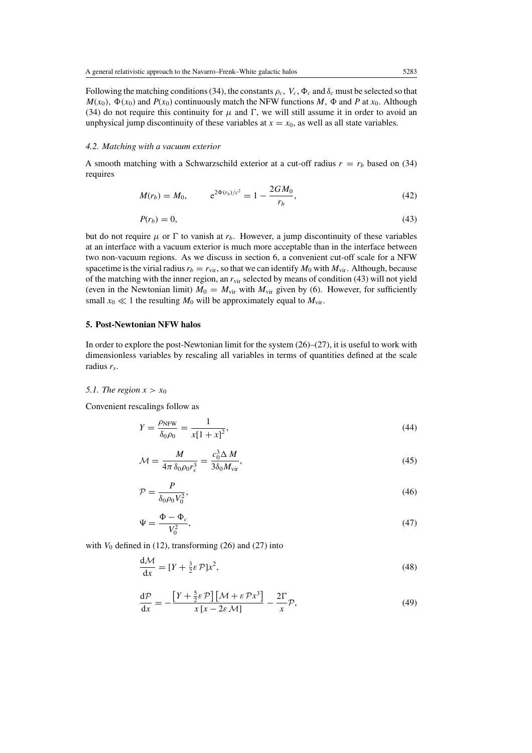Following the matching conditions (34), the constants  $\rho_c$ ,  $V_c$ ,  $\Phi_c$  and  $\delta_c$  must be selected so that  $M(x_0)$ ,  $\Phi(x_0)$  and  $P(x_0)$  continuously match the NFW functions *M*,  $\Phi$  and *P* at *x*<sub>0</sub>. Although (34) do not require this continuity for  $\mu$  and  $\Gamma$ , we will still assume it in order to avoid an unphysical jump discontinuity of these variables at  $x = x_0$ , as well as all state variables.

## *4.2. Matching with a vacuum exterior*

A smooth matching with a Schwarzschild exterior at a cut-off radius  $r = r_b$  based on (34) requires

$$
M(r_b) = M_0, \qquad e^{2\Phi(r_b)/c^2} = 1 - \frac{2GM_0}{r_b}, \qquad (42)
$$

$$
P(r_b) = 0,\t\t(43)
$$

but do not require  $\mu$  or  $\Gamma$  to vanish at  $r_b$ . However, a jump discontinuity of these variables at an interface with a vacuum exterior is much more acceptable than in the interface between two non-vacuum regions. As we discuss in section 6, a convenient cut-off scale for a NFW spacetime is the virial radius  $r_b = r_{\rm vir}$ , so that we can identify  $M_0$  with  $M_{\rm vir}$ . Although, because of the matching with the inner region, an  $r_{\text{vir}}$  selected by means of condition (43) will not yield (even in the Newtonian limit)  $M_0 = M_{\text{vir}}$  with  $M_{\text{vir}}$  given by (6). However, for sufficiently small  $x_0 \ll 1$  the resulting  $M_0$  will be approximately equal to  $M_{\text{vir}}$ .

# **5. Post-Newtonian NFW halos**

In order to explore the post-Newtonian limit for the system  $(26)$ – $(27)$ , it is useful to work with dimensionless variables by rescaling all variables in terms of quantities defined at the scale radius *rs*.

## 5.1. The region  $x > x_0$

Convenient rescalings follow as

$$
Y = \frac{\rho_{\text{NFW}}}{\delta_0 \rho_0} = \frac{1}{x[1+x]^2},\tag{44}
$$

$$
\mathcal{M} = \frac{M}{4\pi \,\delta_0 \rho_0 r_s^3} = \frac{c_0^3 \Delta M}{3\delta_0 M_{\rm vir}},\tag{45}
$$

$$
\mathcal{P} = \frac{P}{\delta_0 \rho_0 V_0^2},\tag{46}
$$

$$
\Psi = \frac{\Phi - \Phi_c}{V_0^2},\tag{47}
$$

with  $V_0$  defined in (12), transforming (26) and (27) into

$$
\frac{d\mathcal{M}}{dx} = [Y + \frac{3}{2}\varepsilon \mathcal{P}]x^2,\tag{48}
$$

$$
\frac{d\mathcal{P}}{dx} = -\frac{\left[Y + \frac{5}{2}\varepsilon \mathcal{P}\right]\left[\mathcal{M} + \varepsilon \mathcal{P}x^3\right]}{x\left[x - 2\varepsilon \mathcal{M}\right]} - \frac{2\Gamma}{x}\mathcal{P},\tag{49}
$$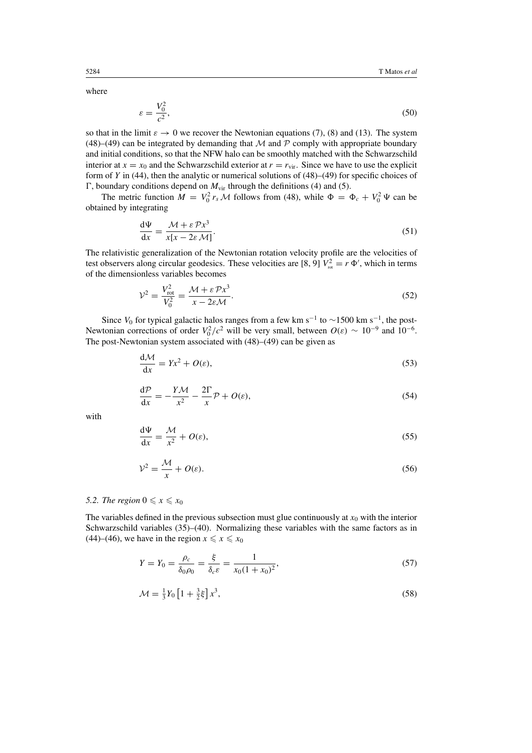where

$$
\varepsilon = \frac{V_0^2}{c^2},\tag{50}
$$

so that in the limit  $\varepsilon \to 0$  we recover the Newtonian equations (7), (8) and (13). The system (48)–(49) can be integrated by demanding that M and P comply with appropriate boundary and initial conditions, so that the NFW halo can be smoothly matched with the Schwarzschild interior at  $x = x_0$  and the Schwarzschild exterior at  $r = r_{\text{vir}}$ . Since we have to use the explicit form of *Y* in (44), then the analytic or numerical solutions of (48)–(49) for specific choices of *T*, boundary conditions depend on  $M_{\text{vir}}$  through the definitions (4) and (5).

The metric function  $M = V_0^2 r_s M$  follows from (48), while  $\Phi = \Phi_c + V_0^2 \Psi$  can be obtained by integrating

$$
\frac{d\Psi}{dx} = \frac{\mathcal{M} + \varepsilon \mathcal{P}x^3}{x[x - 2\varepsilon \mathcal{M}]}.
$$
\n(51)

The relativistic generalization of the Newtonian rotation velocity profile are the velocities of test observers along circular geodesics. These velocities are [8, 9]  $V_{\text{rot}}^2 = r \Phi'$ , which in terms of the dimensionless variables becomes

$$
\mathcal{V}^2 = \frac{V_{\text{rot}}^2}{V_0^2} = \frac{\mathcal{M} + \varepsilon \mathcal{P} x^3}{x - 2\varepsilon \mathcal{M}}.\tag{52}
$$

Since  $V_0$  for typical galactic halos ranges from a few km s<sup>-1</sup> to ~1500 km s<sup>-1</sup>, the post-Newtonian corrections of order  $V_0^2/c^2$  will be very small, between  $O(\varepsilon) \sim 10^{-9}$  and  $10^{-6}$ . The post-Newtonian system associated with (48)–(49) can be given as

$$
\frac{d\mathcal{M}}{dx} = Yx^2 + O(\varepsilon),\tag{53}
$$

$$
\frac{d\mathcal{P}}{dx} = -\frac{Y\mathcal{M}}{x^2} - \frac{2\Gamma}{x}\mathcal{P} + O(\varepsilon),\tag{54}
$$

with

$$
\frac{d\Psi}{dx} = \frac{\mathcal{M}}{x^2} + O(\varepsilon),\tag{55}
$$

$$
\mathcal{V}^2 = \frac{\mathcal{M}}{x} + O(\varepsilon). \tag{56}
$$

# *5.2. The region*  $0 \le x \le x_0$

The variables defined in the previous subsection must glue continuously at  $x_0$  with the interior Schwarzschild variables (35)–(40). Normalizing these variables with the same factors as in (44)–(46), we have in the region  $x \le x \le x_0$ 

$$
Y = Y_0 = \frac{\rho_c}{\delta_0 \rho_0} = \frac{\xi}{\delta_c \varepsilon} = \frac{1}{x_0 (1 + x_0)^2},\tag{57}
$$

$$
\mathcal{M} = \frac{1}{3}Y_0 \left[ 1 + \frac{3}{2}\xi \right] x^3,\tag{58}
$$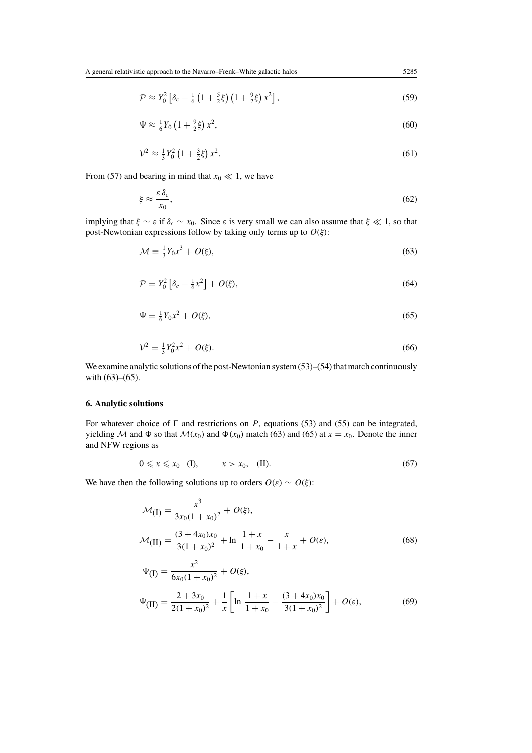$\mathcal{P} \approx Y_0^2 \left[ \delta_c - \frac{1}{6} \left( 1 + \frac{5}{2} \xi \right) \left( 1 + \frac{9}{2} \xi \right) x^2 \right]$ , (59)

$$
\Psi \approx \frac{1}{6} Y_0 \left( 1 + \frac{9}{2} \xi \right) x^2,\tag{60}
$$

$$
\mathcal{V}^2 \approx \frac{1}{3} Y_0^2 \left( 1 + \frac{3}{2} \xi \right) x^2. \tag{61}
$$

From (57) and bearing in mind that  $x_0 \ll 1$ , we have

$$
\xi \approx \frac{\varepsilon \,\delta_c}{x_0},\tag{62}
$$

implying that  $\xi \sim \varepsilon$  if  $\delta_c \sim x_0$ . Since  $\varepsilon$  is very small we can also assume that  $\xi \ll 1$ , so that post-Newtonian expressions follow by taking only terms up to *O(ξ)*:

$$
\mathcal{M} = \frac{1}{3}Y_0 x^3 + O(\xi),\tag{63}
$$

$$
\mathcal{P} = Y_0^2 \left[ \delta_c - \frac{1}{6} x^2 \right] + O(\xi),\tag{64}
$$

$$
\Psi = \frac{1}{6}Y_0 x^2 + O(\xi),\tag{65}
$$

$$
\mathcal{V}^2 = \frac{1}{3} Y_0^2 x^2 + O(\xi). \tag{66}
$$

We examine analytic solutions of the post-Newtonian system (53)–(54) that match continuously with (63)–(65).

# **6. Analytic solutions**

For whatever choice of  $\Gamma$  and restrictions on *P*, equations (53) and (55) can be integrated, yielding M and  $\Phi$  so that  $M(x_0)$  and  $\Phi(x_0)$  match (63) and (65) at  $x = x_0$ . Denote the inner and NFW regions as

$$
0 \leqslant x \leqslant x_0 \quad \text{(I)}, \qquad x > x_0, \quad \text{(II)}.\tag{67}
$$

We have then the following solutions up to orders  $O(\varepsilon) \sim O(\xi)$ :

$$
\mathcal{M}(\mathbf{I}) = \frac{x^3}{3x_0(1+x_0)^2} + O(\xi),
$$
  
\n
$$
\mathcal{M}(\mathbf{II}) = \frac{(3+4x_0)x_0}{3(1+x_0)^2} + \ln \frac{1+x}{1+x_0} - \frac{x}{1+x} + O(\varepsilon),
$$
  
\n
$$
\Psi(\mathbf{I}) = \frac{x^2}{6x_0(1+x_0)^2} + O(\xi),
$$
\n(68)

$$
\Psi(\mathbf{II}) = \frac{2 + 3x_0}{2(1 + x_0)^2} + \frac{1}{x} \left[ \ln \frac{1 + x}{1 + x_0} - \frac{(3 + 4x_0)x_0}{3(1 + x_0)^2} \right] + O(\varepsilon),\tag{69}
$$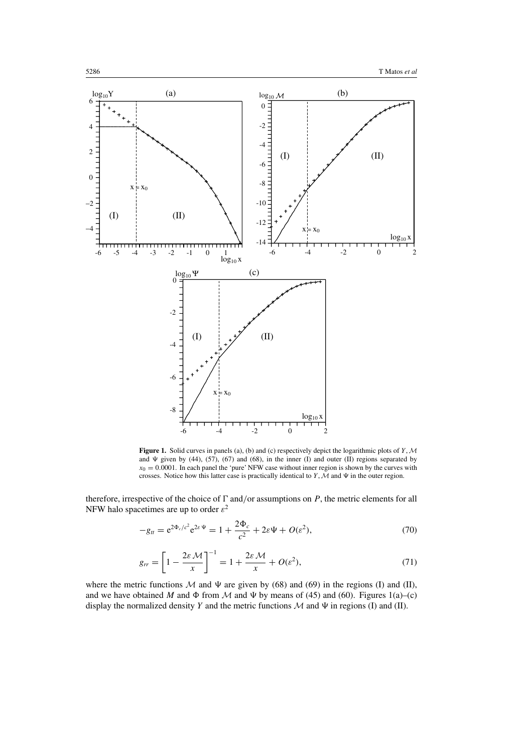

Figure 1. Solid curves in panels (a), (b) and (c) respectively depict the logarithmic plots of *Y*, *M* and  $\Psi$  given by (44), (57), (67) and (68), in the inner (I) and outer (II) regions separated by  $x_0 = 0.0001$ . In each panel the 'pure' NFW case without inner region is shown by the curves with crosses. Notice how this latter case is practically identical to *Y*,  $\mathcal M$  and  $\Psi$  in the outer region.

therefore, irrespective of the choice of  $\Gamma$  and/or assumptions on  $P$ , the metric elements for all NFW halo spacetimes are up to order *ε*<sup>2</sup>

$$
-g_{tt} = e^{2\Phi_c/c^2} e^{2\varepsilon \Psi} = 1 + \frac{2\Phi_c}{c^2} + 2\varepsilon \Psi + O(\varepsilon^2),
$$
 (70)

$$
g_{rr} = \left[1 - \frac{2\varepsilon M}{x}\right]^{-1} = 1 + \frac{2\varepsilon M}{x} + O(\varepsilon^2),\tag{71}
$$

where the metric functions  $M$  and  $\Psi$  are given by (68) and (69) in the regions (I) and (II), and we have obtained *M* and  $\Phi$  from *M* and  $\Psi$  by means of (45) and (60). Figures 1(a)–(c) display the normalized density *Y* and the metric functions  $M$  and  $\Psi$  in regions (I) and (II).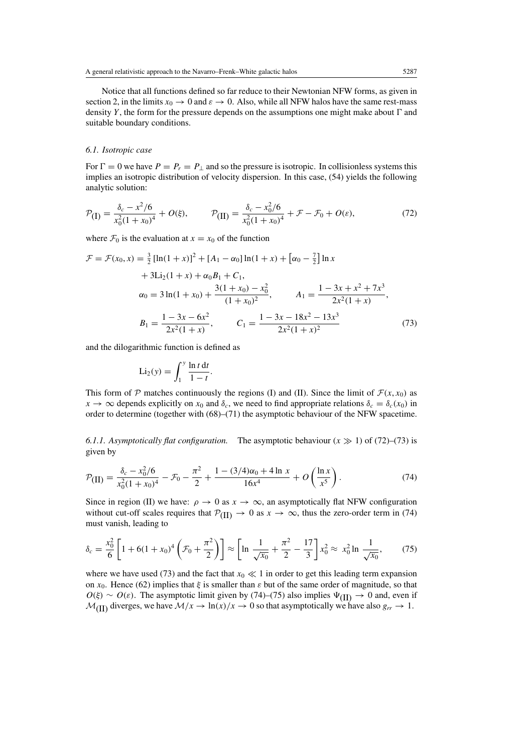Notice that all functions defined so far reduce to their Newtonian NFW forms, as given in section 2, in the limits  $x_0 \to 0$  and  $\varepsilon \to 0$ . Also, while all NFW halos have the same rest-mass density  $Y$ , the form for the pressure depends on the assumptions one might make about  $\Gamma$  and suitable boundary conditions.

# *6.1. Isotropic case*

For  $\Gamma = 0$  we have  $P = P_r = P_\perp$  and so the pressure is isotropic. In collisionless systems this implies an isotropic distribution of velocity dispersion. In this case, (54) yields the following analytic solution:

$$
\mathcal{P}_{\text{(I)}} = \frac{\delta_c - x^2/6}{x_0^2 (1 + x_0)^4} + O(\xi), \qquad \mathcal{P}_{\text{(II)}} = \frac{\delta_c - x_0^2/6}{x_0^2 (1 + x_0)^4} + \mathcal{F} - \mathcal{F}_0 + O(\varepsilon), \tag{72}
$$

where  $\mathcal{F}_0$  is the evaluation at  $x = x_0$  of the function

$$
\mathcal{F} = \mathcal{F}(x_0, x) = \frac{3}{2} [\ln(1+x)]^2 + [A_1 - \alpha_0] \ln(1+x) + [\alpha_0 - \frac{7}{2}] \ln x
$$
  
+ 3Li<sub>2</sub>(1+x) +  $\alpha_0 B_1 + C_1$ ,  

$$
\alpha_0 = 3 \ln(1+x_0) + \frac{3(1+x_0) - x_0^2}{(1+x_0)^2}, \qquad A_1 = \frac{1 - 3x + x^2 + 7x^3}{2x^2(1+x)},
$$

$$
B_1 = \frac{1 - 3x - 6x^2}{2x^2(1+x)}, \qquad C_1 = \frac{1 - 3x - 18x^2 - 13x^3}{2x^2(1+x)^2}
$$
(73)

and the dilogarithmic function is defined as

$$
\mathrm{Li}_2(y) = \int_1^y \frac{\ln t \, \mathrm{d}t}{1 - t}.
$$

This form of  $P$  matches continuously the regions (I) and (II). Since the limit of  $\mathcal{F}(x, x_0)$  as  $x \to \infty$  depends explicitly on  $x_0$  and  $\delta_c$ , we need to find appropriate relations  $\delta_c = \delta_c(x_0)$  in order to determine (together with (68)–(71) the asymptotic behaviour of the NFW spacetime.

6.1.1. Asymptotically flat configuration. The asymptotic behaviour  $(x \gg 1)$  of (72)–(73) is given by

$$
\mathcal{P}(\text{II}) = \frac{\delta_c - x_0^2/6}{x_0^2(1+x_0)^4} - \mathcal{F}_0 - \frac{\pi^2}{2} + \frac{1 - (3/4)\alpha_0 + 4\ln x}{16x^4} + O\left(\frac{\ln x}{x^5}\right). \tag{74}
$$

Since in region (II) we have:  $\rho \to 0$  as  $x \to \infty$ , an asymptotically flat NFW configuration without cut-off scales requires that  $\mathcal{P}_{(II)} \to 0$  as  $x \to \infty$ , thus the zero-order term in (74) must vanish, leading to

$$
\delta_c = \frac{x_0^2}{6} \left[ 1 + 6(1 + x_0)^4 \left( \mathcal{F}_0 + \frac{\pi^2}{2} \right) \right] \approx \left[ \ln \frac{1}{\sqrt{x_0}} + \frac{\pi^2}{2} - \frac{17}{3} \right] x_0^2 \approx x_0^2 \ln \frac{1}{\sqrt{x_0}},\tag{75}
$$

where we have used (73) and the fact that  $x_0 \ll 1$  in order to get this leading term expansion on *x*0. Hence (62) implies that *ξ* is smaller than *ε* but of the same order of magnitude, so that  $O(\xi) \sim O(\varepsilon)$ . The asymptotic limit given by (74)–(75) also implies  $\Psi$ <sub>(II)</sub>  $\rightarrow$  0 and, even if  $\mathcal{M}_{\text{(II)}}$  diverges, we have  $\mathcal{M}/x \to \ln(x)/x \to 0$  so that asymptotically we have also  $g_{rr} \to 1$ .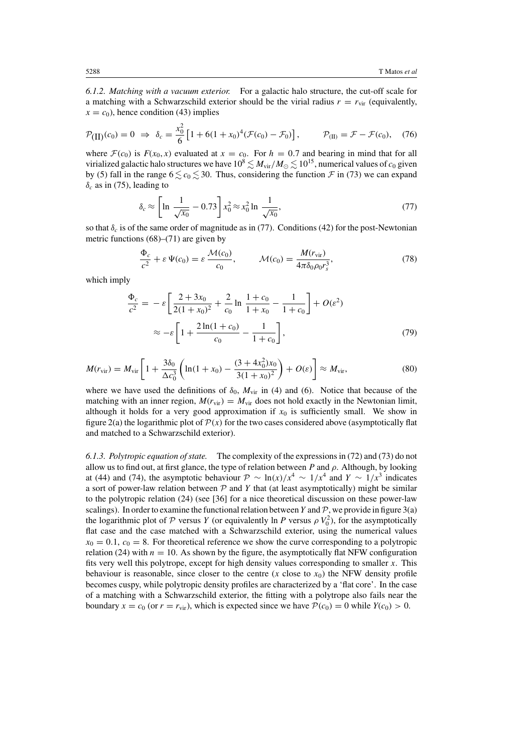*6.1.2. Matching with a vacuum exterior.* For a galactic halo structure, the cut-off scale for a matching with a Schwarzschild exterior should be the virial radius  $r = r_{\text{vir}}$  (equivalently,  $x = c_0$ , hence condition (43) implies

$$
\mathcal{P}_{\text{(II)}}(c_0) = 0 \implies \delta_c = \frac{x_0^2}{6} \left[ 1 + 6(1 + x_0)^4 (\mathcal{F}(c_0) - \mathcal{F}_0) \right], \qquad \mathcal{P}_{\text{(II)}} = \mathcal{F} - \mathcal{F}(c_0), \quad (76)
$$

where  $\mathcal{F}(c_0)$  is  $F(x_0, x)$  evaluated at  $x = c_0$ . For  $h = 0.7$  and bearing in mind that for all virialized galactic halo structures we have  $10^8 \lesssim M_{\rm vir}/M_\odot \lesssim 10^{15}$ , numerical values of  $c_0$  given by (5) fall in the range  $6 \leq c_0 \leq 30$ . Thus, considering the function  $\mathcal F$  in (73) we can expand  $\delta_c$  as in (75), leading to

$$
\delta_c \approx \left[ \ln \frac{1}{\sqrt{x_0}} - 0.73 \right] x_0^2 \approx x_0^2 \ln \frac{1}{\sqrt{x_0}}, \tag{77}
$$

so that  $\delta_c$  is of the same order of magnitude as in (77). Conditions (42) for the post-Newtonian metric functions (68)–(71) are given by

$$
\frac{\Phi_c}{c^2} + \varepsilon \Psi(c_0) = \varepsilon \frac{\mathcal{M}(c_0)}{c_0}, \qquad \mathcal{M}(c_0) = \frac{\mathcal{M}(r_{\rm vir})}{4\pi\delta_0 \rho_0 r_s^3},\tag{78}
$$

which imply

$$
\frac{\Phi_c}{c^2} = -\varepsilon \left[ \frac{2 + 3x_0}{2(1 + x_0)^2} + \frac{2}{c_0} \ln \frac{1 + c_0}{1 + x_0} - \frac{1}{1 + c_0} \right] + O(\varepsilon^2)
$$

$$
\approx -\varepsilon \left[ 1 + \frac{2\ln(1 + c_0)}{c_0} - \frac{1}{1 + c_0} \right],\tag{79}
$$

$$
M(r_{\rm vir}) = M_{\rm vir} \left[ 1 + \frac{3\delta_0}{\Delta c_0^3} \left( \ln(1 + x_0) - \frac{(3 + 4x_0^2)x_0}{3(1 + x_0)^2} \right) + O(\varepsilon) \right] \approx M_{\rm vir},\tag{80}
$$

where we have used the definitions of  $\delta_0$ ,  $M_{\text{vir}}$  in (4) and (6). Notice that because of the matching with an inner region,  $M(r_{\text{vir}}) = M_{\text{vir}}$  does not hold exactly in the Newtonian limit, although it holds for a very good approximation if  $x_0$  is sufficiently small. We show in figure 2(a) the logarithmic plot of  $\mathcal{P}(x)$  for the two cases considered above (asymptotically flat and matched to a Schwarzschild exterior).

*6.1.3. Polytropic equation of state.* The complexity of the expressions in (72) and (73) do not allow us to find out, at first glance, the type of relation between *P* and *ρ*. Although, by looking at (44) and (74), the asymptotic behaviour  $\mathcal{P} \sim \ln(x)/x^4 \sim 1/x^4$  and  $Y \sim 1/x^3$  indicates a sort of power-law relation between  $P$  and  $Y$  that (at least asymptotically) might be similar to the polytropic relation (24) (see [36] for a nice theoretical discussion on these power-law scalings). In order to examine the functional relation between *Y* and  $P$ , we provide in figure 3(a) the logarithmic plot of  $P$  versus  $Y$  (or equivalently ln  $P$  versus  $\rho V_0^2$ ), for the asymptotically flat case and the case matched with a Schwarzschild exterior, using the numerical values  $x_0 = 0.1$ ,  $c_0 = 8$ . For theoretical reference we show the curve corresponding to a polytropic relation (24) with  $n = 10$ . As shown by the figure, the asymptotically flat NFW configuration fits very well this polytrope, except for high density values corresponding to smaller *x*. This behaviour is reasonable, since closer to the centre  $(x \text{ close to } x_0)$  the NFW density profile becomes cuspy, while polytropic density profiles are characterized by a 'flat core'. In the case of a matching with a Schwarzschild exterior, the fitting with a polytrope also fails near the boundary  $x = c_0$  (or  $r = r_{\rm vir}$ ), which is expected since we have  $P(c_0) = 0$  while  $Y(c_0) > 0$ .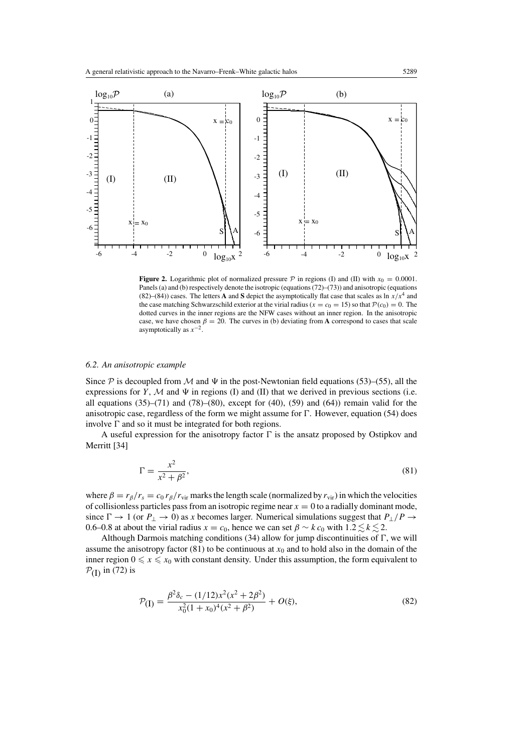

**Figure 2.** Logarithmic plot of normalized pressure  $\mathcal{P}$  in regions (I) and (II) with  $x_0 = 0.0001$ . Panels (a) and (b) respectively denote the isotropic (equations (72)–(73)) and anisotropic (equations (82)–(84)) cases. The letters **A** and **S** depict the asymptotically flat case that scales as  $\ln x/x^4$  and the case matching Schwarzschild exterior at the virial radius ( $x = c_0 = 15$ ) so that  $P(c_0) = 0$ . The dotted curves in the inner regions are the NFW cases without an inner region. In the anisotropic case, we have chosen  $\beta = 20$ . The curves in (b) deviating from **A** correspond to cases that scale asymptotically as *x*−2.

# *6.2. An anisotropic example*

Since  $P$  is decoupled from M and  $\Psi$  in the post-Newtonian field equations (53)–(55), all the expressions for *Y*,  $M$  and  $\Psi$  in regions (I) and (II) that we derived in previous sections (i.e. all equations  $(35)$ – $(71)$  and  $(78)$ – $(80)$ , except for  $(40)$ ,  $(59)$  and  $(64)$ ) remain valid for the anisotropic case, regardless of the form we might assume for  $\Gamma$ . However, equation (54) does involve  $\Gamma$  and so it must be integrated for both regions.

A useful expression for the anisotropy factor  $\Gamma$  is the ansatz proposed by Ostipkov and Merritt [34]

$$
\Gamma = \frac{x^2}{x^2 + \beta^2},\tag{81}
$$

where  $\beta = r_\beta/r_s = c_0 r_\beta/r_{\text{vir}}$  marks the length scale (normalized by  $r_{\text{vir}}$ ) in which the velocities of collisionless particles pass from an isotropic regime near  $x = 0$  to a radially dominant mode, since  $\Gamma \to 1$  (or  $P_{\perp} \to 0$ ) as *x* becomes larger. Numerical simulations suggest that  $P_{\perp}/P \to$ 0.6–0.8 at about the virial radius  $x = c_0$ , hence we can set  $\beta \sim k c_0$  with  $1.2 \lesssim k \lesssim 2$ .

Although Darmois matching conditions  $(34)$  allow for jump discontinuities of  $\Gamma$ , we will assume the anisotropy factor  $(81)$  to be continuous at  $x<sub>0</sub>$  and to hold also in the domain of the inner region  $0 \le x \le x_0$  with constant density. Under this assumption, the form equivalent to  $P_{(I)}$  in (72) is

$$
\mathcal{P}_{\text{(I)}} = \frac{\beta^2 \delta_c - (1/12)x^2(x^2 + 2\beta^2)}{x_0^2(1 + x_0)^4(x^2 + \beta^2)} + O(\xi),\tag{82}
$$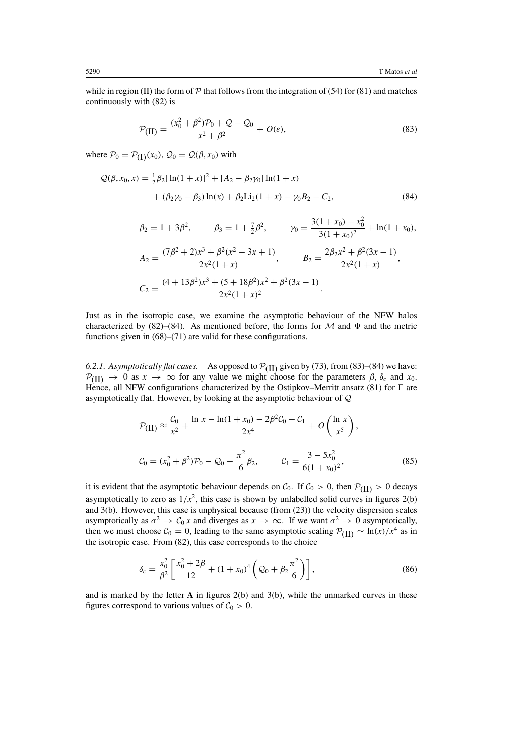while in region (II) the form of  $P$  that follows from the integration of (54) for (81) and matches continuously with (82) is

$$
\mathcal{P}_{\text{(II)}} = \frac{(x_0^2 + \beta^2)\mathcal{P}_0 + \mathcal{Q} - \mathcal{Q}_0}{x^2 + \beta^2} + O(\varepsilon),\tag{83}
$$

where  $\mathcal{P}_0 = \mathcal{P}_{(I)}(x_0)$ ,  $\mathcal{Q}_0 = \mathcal{Q}(\beta, x_0)$  with

$$
Q(\beta, x_0, x) = \frac{1}{2}\beta_2 [\ln(1+x)]^2 + [A_2 - \beta_2 \gamma_0] \ln(1+x) + (\beta_2 \gamma_0 - \beta_3) \ln(x) + \beta_2 \text{Li}_2(1+x) - \gamma_0 B_2 - C_2,
$$
(84)

$$
\beta_2 = 1 + 3\beta^2, \qquad \beta_3 = 1 + \frac{7}{2}\beta^2, \qquad \gamma_0 = \frac{3(1+x_0) - x_0^2}{3(1+x_0)^2} + \ln(1+x_0),
$$

$$
A_2 = \frac{(7\beta^2 + 2)x^3 + \beta^2(x^2 - 3x + 1)}{2x^2(1+x)}, \qquad B_2 = \frac{2\beta_2x^2 + \beta^2(3x - 1)}{2x^2(1+x)},
$$

$$
C_2 = \frac{(4+13\beta^2)x^3 + (5+18\beta^2)x^2 + \beta^2(3x - 1)}{2x^2(1+x)^2}.
$$

Just as in the isotropic case, we examine the asymptotic behaviour of the NFW halos characterized by (82)–(84). As mentioned before, the forms for M and  $\Psi$  and the metric functions given in (68)–(71) are valid for these configurations.

6.2.1. Asymptotically flat cases. As opposed to  $\mathcal{P}_{(II)}$  given by (73), from (83)–(84) we have:  $P(H) \rightarrow 0$  as  $x \rightarrow \infty$  for any value we might choose for the parameters  $\beta$ ,  $\delta_c$  and  $x_0$ . Hence, all NFW configurations characterized by the Ostipkov–Merritt ansatz (81) for  $\Gamma$  are asymptotically flat. However, by looking at the asymptotic behaviour of Q

$$
\mathcal{P}_{\text{(II)}} \approx \frac{\mathcal{C}_0}{x^2} + \frac{\ln x - \ln(1 + x_0) - 2\beta^2 \mathcal{C}_0 - \mathcal{C}_1}{2x^4} + O\left(\frac{\ln x}{x^5}\right),
$$
\n
$$
\mathcal{C}_0 = (x_0^2 + \beta^2)\mathcal{P}_0 - \mathcal{Q}_0 - \frac{\pi^2}{6}\beta_2, \qquad \mathcal{C}_1 = \frac{3 - 5x_0^2}{6(1 + x_0)^2},\tag{85}
$$

it is evident that the asymptotic behaviour depends on  $C_0$ . If  $C_0 > 0$ , then  $\mathcal{P}_{(II)} > 0$  decays asymptotically to zero as  $1/x^2$ , this case is shown by unlabelled solid curves in figures 2(b) and 3(b). However, this case is unphysical because (from (23)) the velocity dispersion scales asymptotically as  $\sigma^2 \to C_0 x$  and diverges as  $x \to \infty$ . If we want  $\sigma^2 \to 0$  asymptotically, then we must choose  $C_0 = 0$ , leading to the same asymptotic scaling  $P_{(II)} \sim \ln(x)/x^4$  as in the isotropic case. From (82), this case corresponds to the choice

$$
\delta_c = \frac{x_0^2}{\beta^2} \left[ \frac{x_0^2 + 2\beta}{12} + (1 + x_0)^4 \left( \mathcal{Q}_0 + \beta_2 \frac{\pi^2}{6} \right) \right],\tag{86}
$$

and is marked by the letter **A** in figures 2(b) and 3(b), while the unmarked curves in these figures correspond to various values of  $C_0 > 0$ .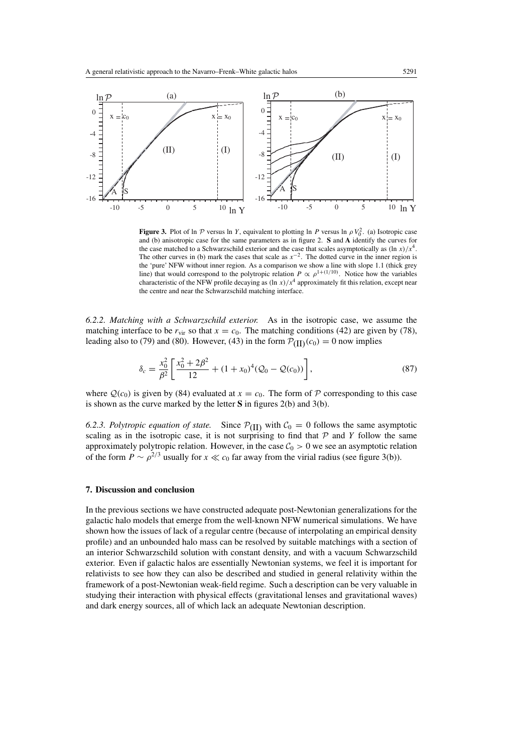

**Figure 3.** Plot of ln  $P$  versus ln *Y*, equivalent to plotting ln *P* versus ln  $\rho V_0^2$ . (a) Isotropic case and (b) anisotropic case for the same parameters as in figure 2. **S** and **A** identify the curves for the case matched to a Schwarzschild exterior and the case that scales asymptotically as  $(\ln x)/x^4$ . The other curves in (b) mark the cases that scale as  $x^{-2}$ . The dotted curve in the inner region is the 'pure' NFW without inner region. As a comparison we show a line with slope 1*.*1 (thick grey line) that would correspond to the polytropic relation  $P \propto \rho^{1+(1/10)}$ . Notice how the variables characteristic of the NFW profile decaying as  $(\ln x)/x^4$  approximately fit this relation, except near the centre and near the Schwarzschild matching interface.

*6.2.2. Matching with a Schwarzschild exterior.* As in the isotropic case, we assume the matching interface to be  $r_{\text{vir}}$  so that  $x = c_0$ . The matching conditions (42) are given by (78), leading also to (79) and (80). However, (43) in the form  $\mathcal{P}_{(II)}(c_0) = 0$  now implies

$$
\delta_c = \frac{x_0^2}{\beta^2} \left[ \frac{x_0^2 + 2\beta^2}{12} + (1 + x_0)^4 (Q_0 - Q(c_0)) \right],\tag{87}
$$

where  $Q(c_0)$  is given by (84) evaluated at  $x = c_0$ . The form of P corresponding to this case is shown as the curve marked by the letter **S** in figures 2(b) and 3(b).

6.2.3. Polytropic equation of state. Since  $P(\Pi)$  with  $C_0 = 0$  follows the same asymptotic scaling as in the isotropic case, it is not surprising to find that  $P$  and  $Y$  follow the same approximately polytropic relation. However, in the case  $C_0 > 0$  we see an asymptotic relation of the form  $P \sim \rho^{2/3}$  usually for  $x \ll c_0$  far away from the virial radius (see figure 3(b)).

# **7. Discussion and conclusion**

In the previous sections we have constructed adequate post-Newtonian generalizations for the galactic halo models that emerge from the well-known NFW numerical simulations. We have shown how the issues of lack of a regular centre (because of interpolating an empirical density profile) and an unbounded halo mass can be resolved by suitable matchings with a section of an interior Schwarzschild solution with constant density, and with a vacuum Schwarzschild exterior. Even if galactic halos are essentially Newtonian systems, we feel it is important for relativists to see how they can also be described and studied in general relativity within the framework of a post-Newtonian weak-field regime. Such a description can be very valuable in studying their interaction with physical effects (gravitational lenses and gravitational waves) and dark energy sources, all of which lack an adequate Newtonian description.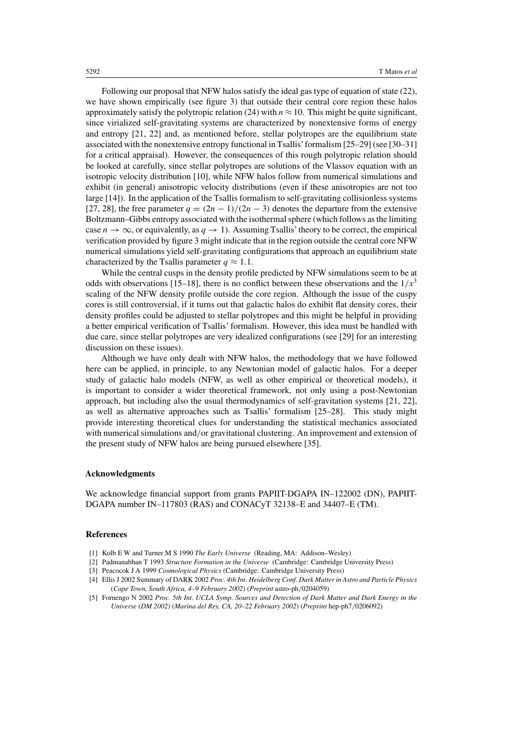Following our proposal that NFW halos satisfy the ideal gas type of equation of state (22), we have shown empirically (see figure 3) that outside their central core region these halos approximately satisfy the polytropic relation (24) with  $n \approx 10$ . This might be quite significant, since virialized self-gravitating systems are characterized by nonextensive forms of energy and entropy [21, 22] and, as mentioned before, stellar polytropes are the equilibrium state associated with the nonextensive entropy functional in Tsallis'formalism [25–29] (see [30–31] for a critical appraisal). However, the consequences of this rough polytropic relation should be looked at carefully, since stellar polytropes are solutions of the Vlassov equation with an isotropic velocity distribution [10], while NFW halos follow from numerical simulations and exhibit (in general) anisotropic velocity distributions (even if these anisotropies are not too large [14]). In the application of the Tsallis formalism to self-gravitating collisionless systems [27, 28], the free parameter  $q = (2n - 1)/(2n - 3)$  denotes the departure from the extensive Boltzmann–Gibbs entropy associated with the isothermal sphere (which follows as the limiting case  $n \to \infty$ , or equivalently, as  $q \to 1$ ). Assuming Tsallis' theory to be correct, the empirical verification provided by figure 3 might indicate that in the region outside the central core NFW numerical simulations yield self-gravitating configurations that approach an equilibrium state characterized by the Tsallis parameter  $q \approx 1.1$ .

While the central cusps in the density profile predicted by NFW simulations seem to be at odds with observations [15–18], there is no conflict between these observations and the  $1/x<sup>3</sup>$ scaling of the NFW density profile outside the core region. Although the issue of the cuspy cores is still controversial, if it turns out that galactic halos do exhibit flat density cores, their density profiles could be adjusted to stellar polytropes and this might be helpful in providing a better empirical verification of Tsallis' formalism. However, this idea must be handled with due care, since stellar polytropes are very idealized configurations (see [29] for an interesting discussion on these issues).

Although we have only dealt with NFW halos, the methodology that we have followed here can be applied, in principle, to any Newtonian model of galactic halos. For a deeper study of galactic halo models (NFW, as well as other empirical or theoretical models), it is important to consider a wider theoretical framework, not only using a post-Newtonian approach, but including also the usual thermodynamics of self-gravitation systems [21, 22], as well as alternative approaches such as Tsallis' formalism [25–28]. This study might provide interesting theoretical clues for understanding the statistical mechanics associated with numerical simulations and/or gravitational clustering. An improvement and extension of the present study of NFW halos are being pursued elsewhere [35].

#### **Acknowledgments**

We acknowledge financial support from grants PAPIIT-DGAPA IN–122002 (DN), PAPIIT-DGAPA number IN–117803 (RAS) and CONACyT 32138–E and 34407–E (TM).

#### **References**

- [1] Kolb E W and Turner M S 1990 *The Early Universe* (Reading, MA: Addison–Wesley)
- [2] Padmanabhan T 1993 *Structure Formation in the Universe* (Cambridge: Cambridge University Press)
- [3] Peacocok J A 1999 *Cosmological Physics* (Cambridge: Cambridge University Press)
- [4] Ellis J 2002 Summary of DARK 2002 *Proc. 4th Int. Heidelberg Conf. Dark Matter in Astro and Particle Physics* (*Cape Town, South Africa, 4–9 February 2002*) (*Preprint* astro-ph*/*0204059)
- [5] Fornengo N 2002 *Proc. 5th Int. UCLA Symp. Sources and Detection of Dark Matter and Dark Energy in the Universe* (*DM 2002*) (*Marina del Rey, CA, 20–22 February 2002*) (*Preprint* hep-ph7*/*0206092)